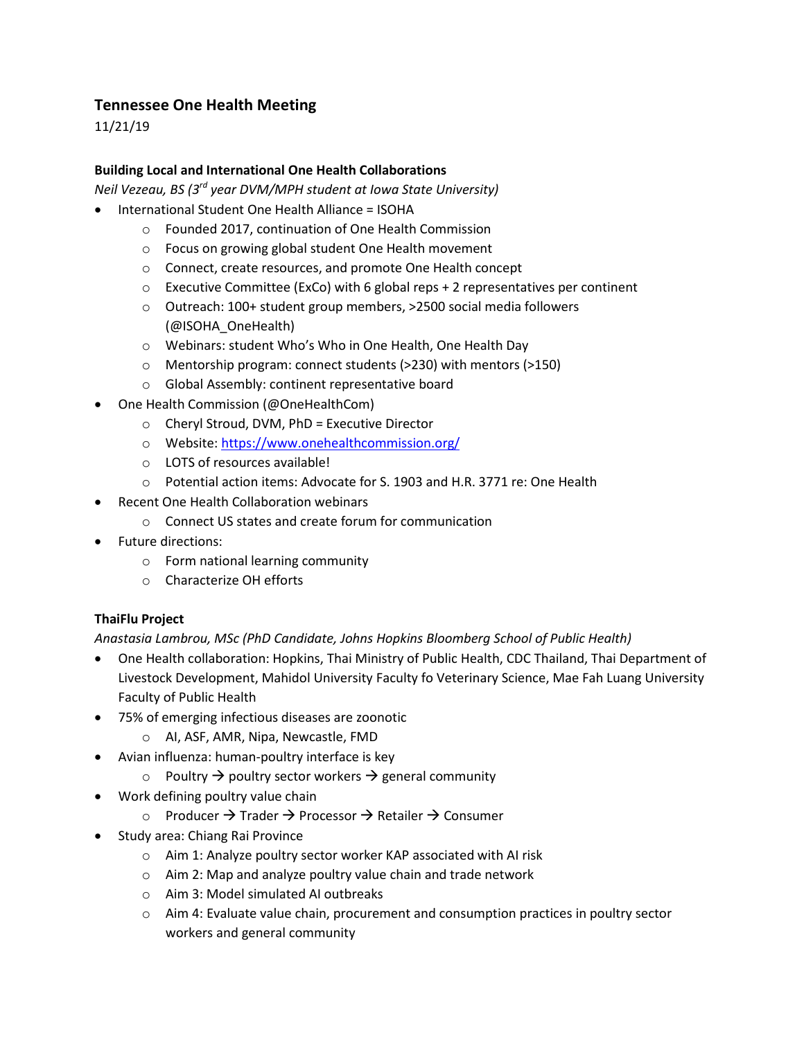## **Tennessee One Health Meeting**

11/21/19

## **Building Local and International One Health Collaborations**

*Neil Vezeau, BS (3rd year DVM/MPH student at Iowa State University)*

- International Student One Health Alliance = ISOHA
	- o Founded 2017, continuation of One Health Commission
	- o Focus on growing global student One Health movement
	- o Connect, create resources, and promote One Health concept
	- $\circ$  Executive Committee (ExCo) with 6 global reps + 2 representatives per continent
	- o Outreach: 100+ student group members, >2500 social media followers (@ISOHA\_OneHealth)
	- o Webinars: student Who's Who in One Health, One Health Day
	- o Mentorship program: connect students (>230) with mentors (>150)
	- o Global Assembly: continent representative board
- One Health Commission (@OneHealthCom)
	- o Cheryl Stroud, DVM, PhD = Executive Director
	- o Website[: https://www.onehealthcommission.org/](https://www.onehealthcommission.org/)
	- o LOTS of resources available!
	- o Potential action items: Advocate for S. 1903 and H.R. 3771 re: One Health
- Recent One Health Collaboration webinars
	- o Connect US states and create forum for communication
- Future directions:
	- o Form national learning community
	- o Characterize OH efforts

## **ThaiFlu Project**

*Anastasia Lambrou, MSc (PhD Candidate, Johns Hopkins Bloomberg School of Public Health)* 

- One Health collaboration: Hopkins, Thai Ministry of Public Health, CDC Thailand, Thai Department of Livestock Development, Mahidol University Faculty fo Veterinary Science, Mae Fah Luang University Faculty of Public Health
- 75% of emerging infectious diseases are zoonotic
	- o AI, ASF, AMR, Nipa, Newcastle, FMD
- Avian influenza: human-poultry interface is key
	- $\circ$  Poultry  $\rightarrow$  poultry sector workers  $\rightarrow$  general community
- Work defining poultry value chain
	- o Producer  $\rightarrow$  Trader  $\rightarrow$  Processor  $\rightarrow$  Retailer  $\rightarrow$  Consumer
- Study area: Chiang Rai Province
	- o Aim 1: Analyze poultry sector worker KAP associated with AI risk
	- o Aim 2: Map and analyze poultry value chain and trade network
	- o Aim 3: Model simulated AI outbreaks
	- $\circ$  Aim 4: Evaluate value chain, procurement and consumption practices in poultry sector workers and general community